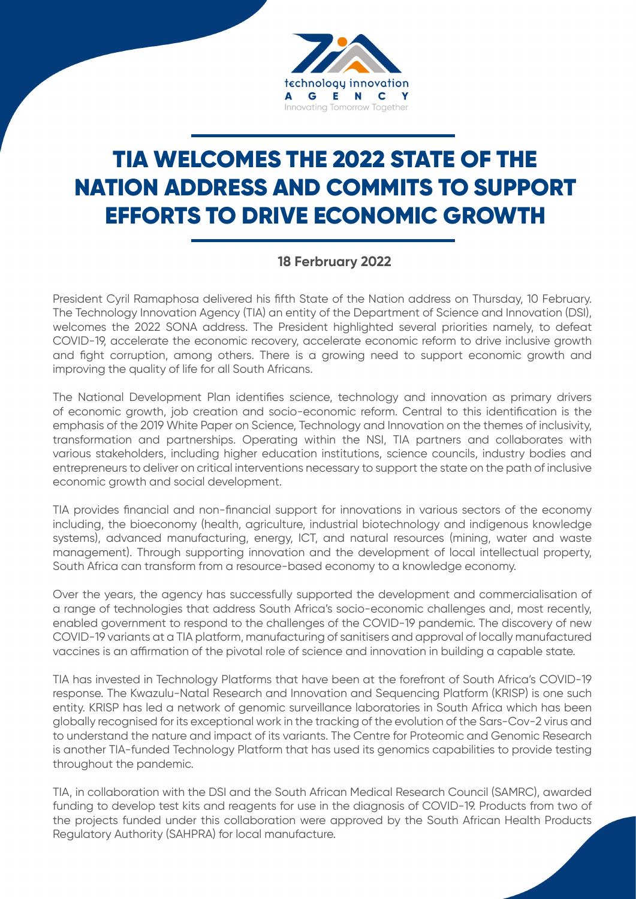

## TIA WELCOMES THE 2022 STATE OF THE NATION ADDRESS AND COMMITS TO SUPPORT EFFORTS TO DRIVE ECONOMIC GROWTH

## **18 Ferbruary 2022**

President Cyril Ramaphosa delivered his fifth State of the Nation address on Thursday, 10 February. The Technology Innovation Agency (TIA) an entity of the Department of Science and Innovation (DSI), welcomes the 2022 SONA address. The President highlighted several priorities namely, to defeat COVID-19, accelerate the economic recovery, accelerate economic reform to drive inclusive growth and fight corruption, among others. There is a growing need to support economic growth and improving the quality of life for all South Africans.

The National Development Plan identifies science, technology and innovation as primary drivers of economic growth, job creation and socio-economic reform. Central to this identification is the emphasis of the 2019 White Paper on Science, Technology and Innovation on the themes of inclusivity, transformation and partnerships. Operating within the NSI, TIA partners and collaborates with various stakeholders, including higher education institutions, science councils, industry bodies and entrepreneurs to deliver on critical interventions necessary to support the state on the path of inclusive economic growth and social development.

TIA provides financial and non-financial support for innovations in various sectors of the economy including, the bioeconomy (health, agriculture, industrial biotechnology and indigenous knowledge systems), advanced manufacturing, energy, ICT, and natural resources (mining, water and waste management). Through supporting innovation and the development of local intellectual property, South Africa can transform from a resource-based economy to a knowledge economy.

Over the years, the agency has successfully supported the development and commercialisation of a range of technologies that address South Africa's socio-economic challenges and, most recently, enabled government to respond to the challenges of the COVID-19 pandemic. The discovery of new COVID-19 variants at a TIA platform, manufacturing of sanitisers and approval of locally manufactured vaccines is an affirmation of the pivotal role of science and innovation in building a capable state.

TIA has invested in Technology Platforms that have been at the forefront of South Africa's COVID-19 response. The Kwazulu-Natal Research and Innovation and Sequencing Platform (KRISP) is one such entity. KRISP has led a network of genomic surveillance laboratories in South Africa which has been globally recognised for its exceptional work in the tracking of the evolution of the Sars-Cov-2 virus and to understand the nature and impact of its variants. The Centre for Proteomic and Genomic Research is another TIA-funded Technology Platform that has used its genomics capabilities to provide testing throughout the pandemic.

TIA, in collaboration with the DSI and the South African Medical Research Council (SAMRC), awarded funding to develop test kits and reagents for use in the diagnosis of COVID-19. Products from two of the projects funded under this collaboration were approved by the South African Health Products Regulatory Authority (SAHPRA) for local manufacture.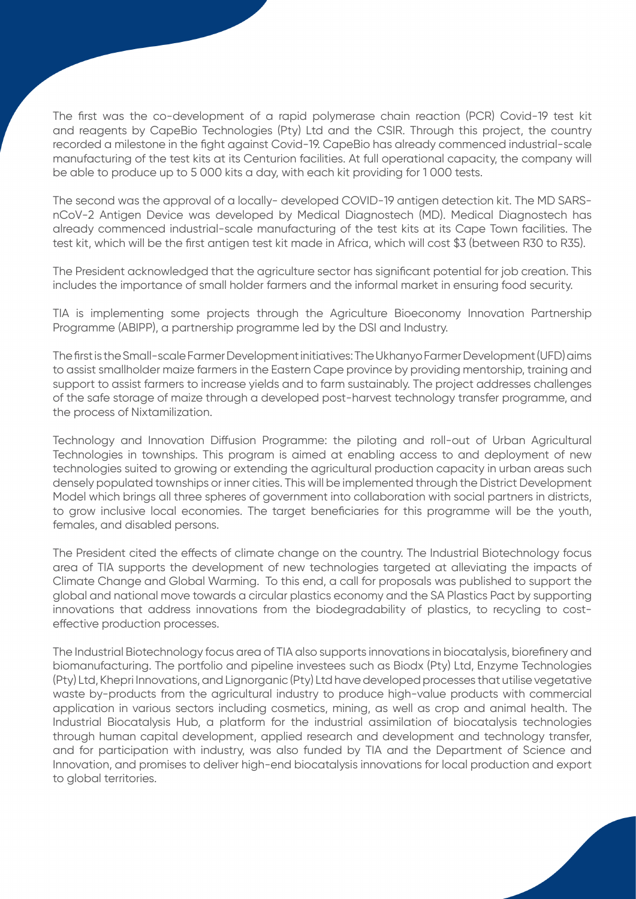The first was the co-development of a rapid polymerase chain reaction (PCR) Covid-19 test kit and reagents by CapeBio Technologies (Pty) Ltd and the CSIR. Through this project, the country recorded a milestone in the fight against Covid-19. CapeBio has already commenced industrial-scale manufacturing of the test kits at its Centurion facilities. At full operational capacity, the company will be able to produce up to 5 000 kits a day, with each kit providing for 1 000 tests.

The second was the approval of a locally- developed COVID-19 antigen detection kit. The MD SARSnCoV-2 Antigen Device was developed by Medical Diagnostech (MD). Medical Diagnostech has already commenced industrial-scale manufacturing of the test kits at its Cape Town facilities. The test kit, which will be the first antigen test kit made in Africa, which will cost \$3 (between R30 to R35).

The President acknowledged that the agriculture sector has significant potential for job creation. This includes the importance of small holder farmers and the informal market in ensuring food security.

TIA is implementing some projects through the Agriculture Bioeconomy Innovation Partnership Programme (ABIPP), a partnership programme led by the DSI and Industry.

The first is the Small-scale Farmer Development initiatives: The Ukhanyo Farmer Development (UFD) aims to assist smallholder maize farmers in the Eastern Cape province by providing mentorship, training and support to assist farmers to increase yields and to farm sustainably. The project addresses challenges of the safe storage of maize through a developed post-harvest technology transfer programme, and the process of Nixtamilization.

Technology and Innovation Diffusion Programme: the piloting and roll-out of Urban Agricultural Technologies in townships. This program is aimed at enabling access to and deployment of new technologies suited to growing or extending the agricultural production capacity in urban areas such densely populated townships or inner cities. This will be implemented through the District Development Model which brings all three spheres of government into collaboration with social partners in districts, to grow inclusive local economies. The target beneficiaries for this programme will be the youth, females, and disabled persons.

The President cited the effects of climate change on the country. The Industrial Biotechnology focus area of TIA supports the development of new technologies targeted at alleviating the impacts of Climate Change and Global Warming. To this end, a call for proposals was published to support the global and national move towards a circular plastics economy and the SA Plastics Pact by supporting innovations that address innovations from the biodegradability of plastics, to recycling to costeffective production processes.

The Industrial Biotechnology focus area of TIA also supports innovations in biocatalysis, biorefinery and biomanufacturing. The portfolio and pipeline investees such as Biodx (Pty) Ltd, Enzyme Technologies (Pty) Ltd, Khepri Innovations, and Lignorganic (Pty) Ltd have developed processes that utilise vegetative waste by-products from the agricultural industry to produce high-value products with commercial application in various sectors including cosmetics, mining, as well as crop and animal health. The Industrial Biocatalysis Hub, a platform for the industrial assimilation of biocatalysis technologies through human capital development, applied research and development and technology transfer, and for participation with industry, was also funded by TIA and the Department of Science and Innovation, and promises to deliver high-end biocatalysis innovations for local production and export to global territories.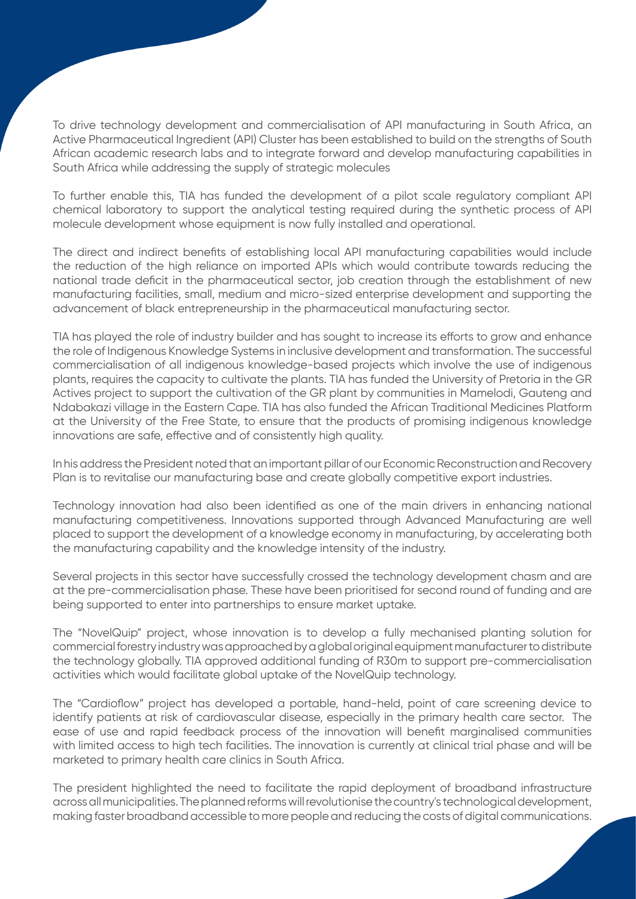To drive technology development and commercialisation of API manufacturing in South Africa, an Active Pharmaceutical Ingredient (API) Cluster has been established to build on the strengths of South African academic research labs and to integrate forward and develop manufacturing capabilities in South Africa while addressing the supply of strategic molecules

To further enable this, TIA has funded the development of a pilot scale regulatory compliant API chemical laboratory to support the analytical testing required during the synthetic process of API molecule development whose equipment is now fully installed and operational.

The direct and indirect benefits of establishing local API manufacturing capabilities would include the reduction of the high reliance on imported APIs which would contribute towards reducing the national trade deficit in the pharmaceutical sector, job creation through the establishment of new manufacturing facilities, small, medium and micro-sized enterprise development and supporting the advancement of black entrepreneurship in the pharmaceutical manufacturing sector.

TIA has played the role of industry builder and has sought to increase its efforts to grow and enhance the role of Indigenous Knowledge Systems in inclusive development and transformation. The successful commercialisation of all indigenous knowledge-based projects which involve the use of indigenous plants, requires the capacity to cultivate the plants. TIA has funded the University of Pretoria in the GR Actives project to support the cultivation of the GR plant by communities in Mamelodi, Gauteng and Ndabakazi village in the Eastern Cape. TIA has also funded the African Traditional Medicines Platform at the University of the Free State, to ensure that the products of promising indigenous knowledge innovations are safe, effective and of consistently high quality.

In his address the President noted that an important pillar of our Economic Reconstruction and Recovery Plan is to revitalise our manufacturing base and create globally competitive export industries.

Technology innovation had also been identified as one of the main drivers in enhancing national manufacturing competitiveness. Innovations supported through Advanced Manufacturing are well placed to support the development of a knowledge economy in manufacturing, by accelerating both the manufacturing capability and the knowledge intensity of the industry.

Several projects in this sector have successfully crossed the technology development chasm and are at the pre-commercialisation phase. These have been prioritised for second round of funding and are being supported to enter into partnerships to ensure market uptake.

The "NovelQuip" project, whose innovation is to develop a fully mechanised planting solution for commercial forestry industry was approached by a global original equipment manufacturer to distribute the technology globally. TIA approved additional funding of R30m to support pre-commercialisation activities which would facilitate global uptake of the NovelQuip technology.

The "Cardioflow" project has developed a portable, hand-held, point of care screening device to identify patients at risk of cardiovascular disease, especially in the primary health care sector. The ease of use and rapid feedback process of the innovation will benefit marginalised communities with limited access to high tech facilities. The innovation is currently at clinical trial phase and will be marketed to primary health care clinics in South Africa.

The president highlighted the need to facilitate the rapid deployment of broadband infrastructure across all municipalities. The planned reforms will revolutionise the country's technological development, making faster broadband accessible to more people and reducing the costs of digital communications.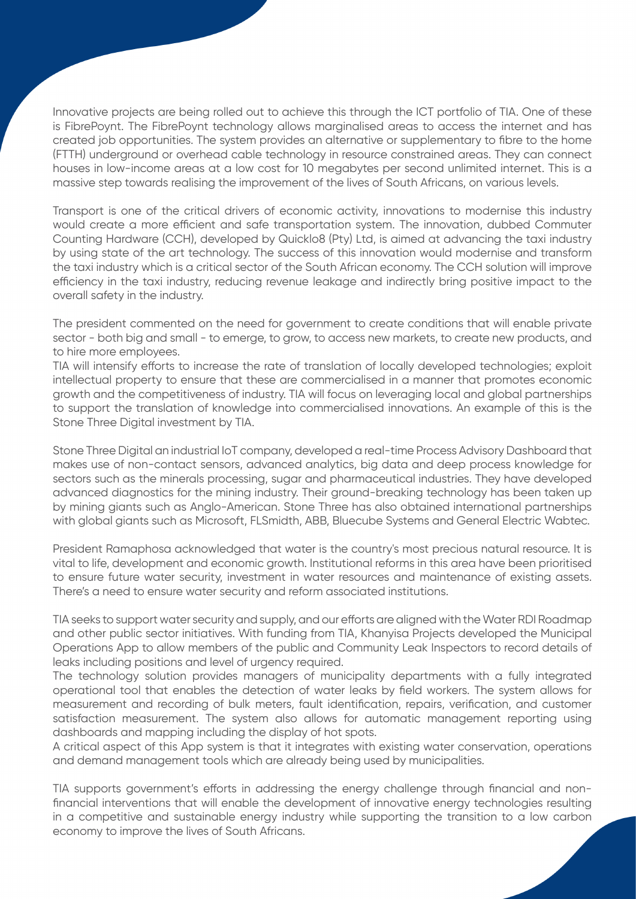Innovative projects are being rolled out to achieve this through the ICT portfolio of TIA. One of these is FibrePoynt. The FibrePoynt technology allows marginalised areas to access the internet and has created job opportunities. The system provides an alternative or supplementary to fibre to the home (FTTH) underground or overhead cable technology in resource constrained areas. They can connect houses in low-income areas at a low cost for 10 megabytes per second unlimited internet. This is a massive step towards realising the improvement of the lives of South Africans, on various levels.

Transport is one of the critical drivers of economic activity, innovations to modernise this industry would create a more efficient and safe transportation system. The innovation, dubbed Commuter Counting Hardware (CCH), developed by Quicklo8 (Pty) Ltd, is aimed at advancing the taxi industry by using state of the art technology. The success of this innovation would modernise and transform the taxi industry which is a critical sector of the South African economy. The CCH solution will improve efficiency in the taxi industry, reducing revenue leakage and indirectly bring positive impact to the overall safety in the industry.

The president commented on the need for government to create conditions that will enable private sector - both big and small - to emerge, to grow, to access new markets, to create new products, and to hire more employees.

TIA will intensify efforts to increase the rate of translation of locally developed technologies; exploit intellectual property to ensure that these are commercialised in a manner that promotes economic growth and the competitiveness of industry. TIA will focus on leveraging local and global partnerships to support the translation of knowledge into commercialised innovations. An example of this is the Stone Three Digital investment by TIA.

Stone Three Digital an industrial IoT company, developed a real-time Process Advisory Dashboard that makes use of non-contact sensors, advanced analytics, big data and deep process knowledge for sectors such as the minerals processing, sugar and pharmaceutical industries. They have developed advanced diagnostics for the mining industry. Their ground-breaking technology has been taken up by mining giants such as Anglo-American. Stone Three has also obtained international partnerships with global giants such as Microsoft, FLSmidth, ABB, Bluecube Systems and General Electric Wabtec.

President Ramaphosa acknowledged that water is the country's most precious natural resource. It is vital to life, development and economic growth. Institutional reforms in this area have been prioritised to ensure future water security, investment in water resources and maintenance of existing assets. There's a need to ensure water security and reform associated institutions.

TIA seeks to support water security and supply, and our efforts are aligned with the Water RDI Roadmap and other public sector initiatives. With funding from TIA, Khanyisa Projects developed the Municipal Operations App to allow members of the public and Community Leak Inspectors to record details of leaks including positions and level of urgency required.

The technology solution provides managers of municipality departments with a fully integrated operational tool that enables the detection of water leaks by field workers. The system allows for measurement and recording of bulk meters, fault identification, repairs, verification, and customer satisfaction measurement. The system also allows for automatic management reporting using dashboards and mapping including the display of hot spots.

A critical aspect of this App system is that it integrates with existing water conservation, operations and demand management tools which are already being used by municipalities.

TIA supports government's efforts in addressing the energy challenge through financial and nonfinancial interventions that will enable the development of innovative energy technologies resulting in a competitive and sustainable energy industry while supporting the transition to a low carbon economy to improve the lives of South Africans.